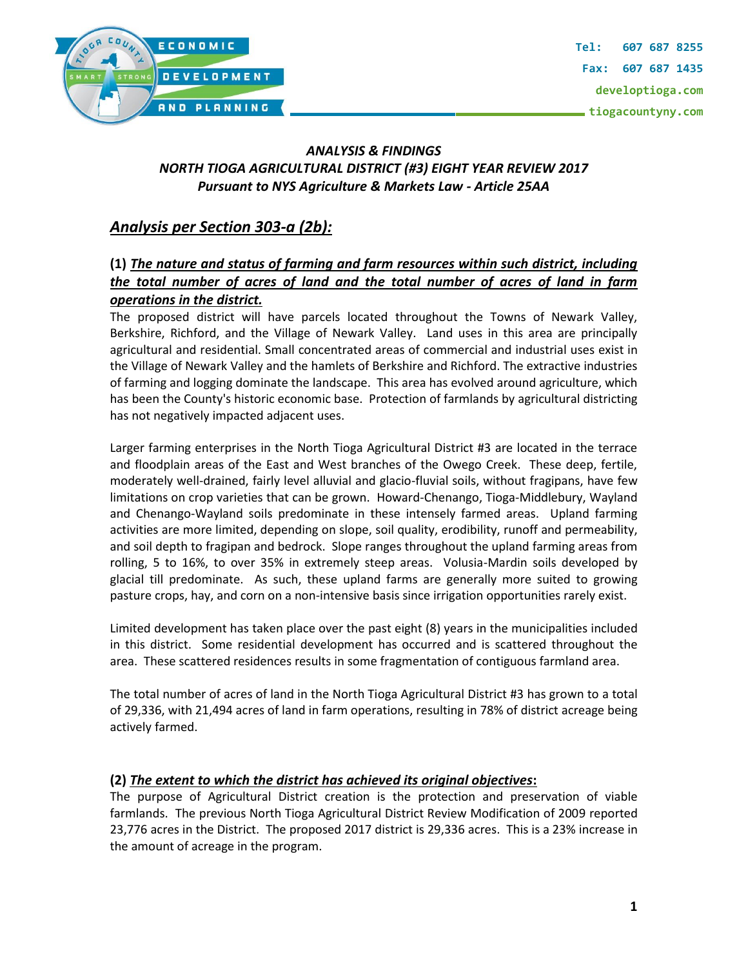

### *ANALYSIS & FINDINGS NORTH TIOGA AGRICULTURAL DISTRICT (#3) EIGHT YEAR REVIEW 2017 Pursuant to NYS Agriculture & Markets Law - Article 25AA*

# *Analysis per Section 303-a (2b):*

## **(1)** *The nature and status of farming and farm resources within such district, including the total number of acres of land and the total number of acres of land in farm operations in the district.*

The proposed district will have parcels located throughout the Towns of Newark Valley, Berkshire, Richford, and the Village of Newark Valley. Land uses in this area are principally agricultural and residential. Small concentrated areas of commercial and industrial uses exist in the Village of Newark Valley and the hamlets of Berkshire and Richford. The extractive industries of farming and logging dominate the landscape. This area has evolved around agriculture, which has been the County's historic economic base. Protection of farmlands by agricultural districting has not negatively impacted adjacent uses.

Larger farming enterprises in the North Tioga Agricultural District #3 are located in the terrace and floodplain areas of the East and West branches of the Owego Creek. These deep, fertile, moderately well-drained, fairly level alluvial and glacio-fluvial soils, without fragipans, have few limitations on crop varieties that can be grown. Howard-Chenango, Tioga-Middlebury, Wayland and Chenango-Wayland soils predominate in these intensely farmed areas. Upland farming activities are more limited, depending on slope, soil quality, erodibility, runoff and permeability, and soil depth to fragipan and bedrock. Slope ranges throughout the upland farming areas from rolling, 5 to 16%, to over 35% in extremely steep areas. Volusia-Mardin soils developed by glacial till predominate. As such, these upland farms are generally more suited to growing pasture crops, hay, and corn on a non-intensive basis since irrigation opportunities rarely exist.

Limited development has taken place over the past eight (8) years in the municipalities included in this district. Some residential development has occurred and is scattered throughout the area. These scattered residences results in some fragmentation of contiguous farmland area.

The total number of acres of land in the North Tioga Agricultural District #3 has grown to a total of 29,336, with 21,494 acres of land in farm operations, resulting in 78% of district acreage being actively farmed.

#### **(2)** *The extent to which the district has achieved its original objectives***:**

The purpose of Agricultural District creation is the protection and preservation of viable farmlands. The previous North Tioga Agricultural District Review Modification of 2009 reported 23,776 acres in the District. The proposed 2017 district is 29,336 acres. This is a 23% increase in the amount of acreage in the program.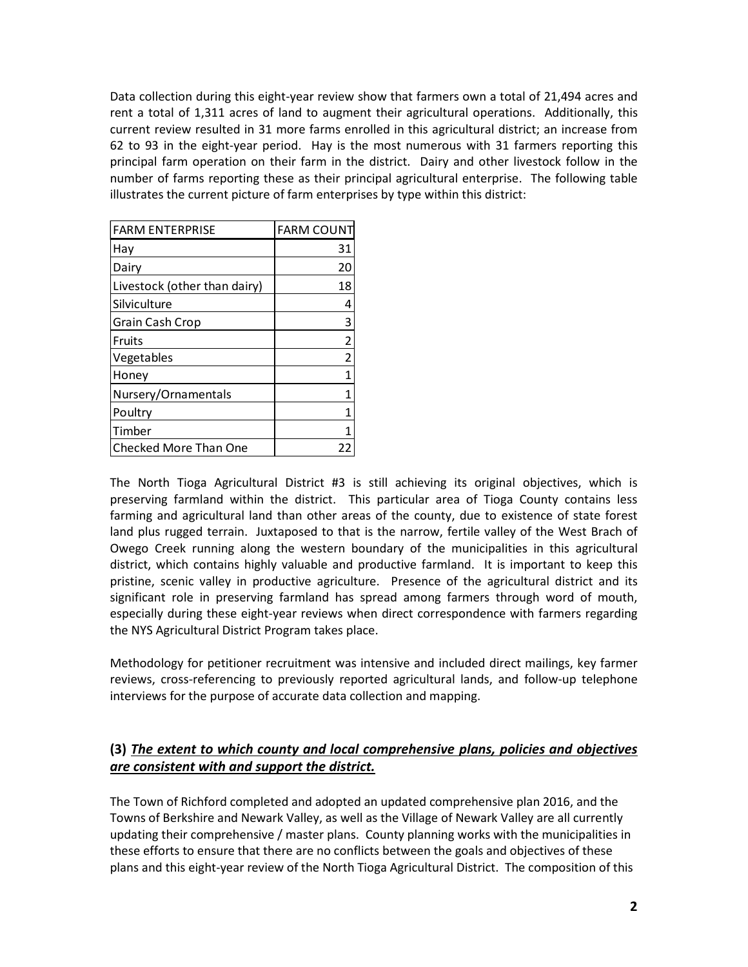Data collection during this eight-year review show that farmers own a total of 21,494 acres and rent a total of 1,311 acres of land to augment their agricultural operations. Additionally, this current review resulted in 31 more farms enrolled in this agricultural district; an increase from 62 to 93 in the eight-year period. Hay is the most numerous with 31 farmers reporting this principal farm operation on their farm in the district. Dairy and other livestock follow in the number of farms reporting these as their principal agricultural enterprise. The following table illustrates the current picture of farm enterprises by type within this district:

| <b>FARM ENTERPRISE</b>       | <b>FARM COUNT</b> |
|------------------------------|-------------------|
| Hav                          | 31                |
| Dairy                        | 20                |
| Livestock (other than dairy) | 18                |
| Silviculture                 | 4                 |
| Grain Cash Crop              | 3                 |
| Fruits                       | $\overline{2}$    |
| Vegetables                   | $\overline{2}$    |
| Honey                        | 1                 |
| Nursery/Ornamentals          | 1                 |
| Poultry                      | 1                 |
| Timber                       | 1                 |
| Checked More Than One        |                   |

The North Tioga Agricultural District #3 is still achieving its original objectives, which is preserving farmland within the district. This particular area of Tioga County contains less farming and agricultural land than other areas of the county, due to existence of state forest land plus rugged terrain. Juxtaposed to that is the narrow, fertile valley of the West Brach of Owego Creek running along the western boundary of the municipalities in this agricultural district, which contains highly valuable and productive farmland. It is important to keep this pristine, scenic valley in productive agriculture. Presence of the agricultural district and its significant role in preserving farmland has spread among farmers through word of mouth, especially during these eight-year reviews when direct correspondence with farmers regarding the NYS Agricultural District Program takes place.

Methodology for petitioner recruitment was intensive and included direct mailings, key farmer reviews, cross-referencing to previously reported agricultural lands, and follow-up telephone interviews for the purpose of accurate data collection and mapping.

#### **(3)** *The extent to which county and local comprehensive plans, policies and objectives are consistent with and support the district.*

The Town of Richford completed and adopted an updated comprehensive plan 2016, and the Towns of Berkshire and Newark Valley, as well as the Village of Newark Valley are all currently updating their comprehensive / master plans. County planning works with the municipalities in these efforts to ensure that there are no conflicts between the goals and objectives of these plans and this eight-year review of the North Tioga Agricultural District. The composition of this